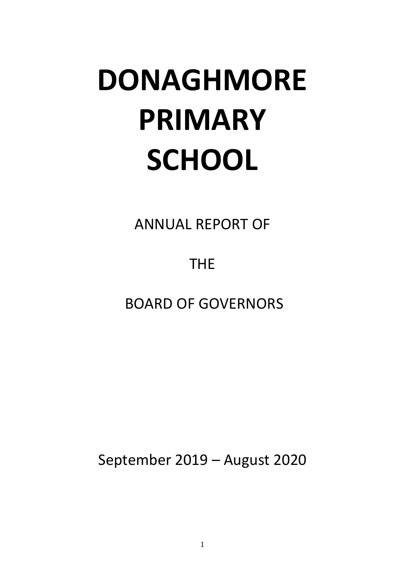# **DONAGHMORE PRIMARY SCHOOL**

ANNUAL REPORT OF

THE

BOARD OF GOVERNORS

September 2019 – August 2020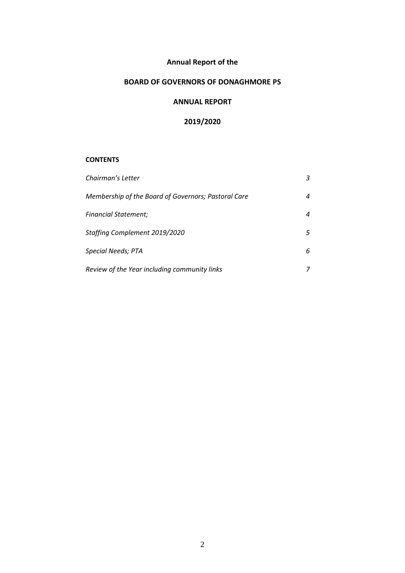# **Annual Report of the**

# **BOARD OF GOVERNORS OF DONAGHMORE PS**

## **ANNUAL REPORT**

## **2019/2020**

## **CONTENTS**

| Chairman's Letter                                   | 3  |
|-----------------------------------------------------|----|
| Membership of the Board of Governors; Pastoral Care | 4  |
| Financial Statement;                                | 4  |
| Staffing Complement 2019/2020                       | 5. |
| <b>Special Needs; PTA</b>                           | 6. |
| Review of the Year including community links        |    |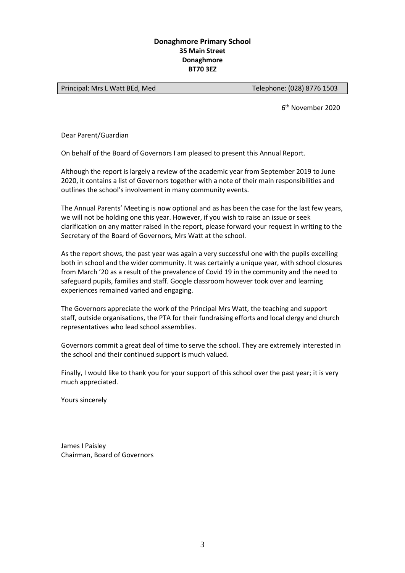## **Donaghmore Primary School 35 Main Street Donaghmore BT70 3EZ**

Principal: Mrs L Watt BEd, Med
Telephone: (028) 8776 1503

6 th November 2020

Dear Parent/Guardian

On behalf of the Board of Governors I am pleased to present this Annual Report.

Although the report is largely a review of the academic year from September 2019 to June 2020, it contains a list of Governors together with a note of their main responsibilities and outlines the school's involvement in many community events.

The Annual Parents' Meeting is now optional and as has been the case for the last few years, we will not be holding one this year. However, if you wish to raise an issue or seek clarification on any matter raised in the report, please forward your request in writing to the Secretary of the Board of Governors, Mrs Watt at the school.

As the report shows, the past year was again a very successful one with the pupils excelling both in school and the wider community. It was certainly a unique year, with school closures from March '20 as a result of the prevalence of Covid 19 in the community and the need to safeguard pupils, families and staff. Google classroom however took over and learning experiences remained varied and engaging.

The Governors appreciate the work of the Principal Mrs Watt, the teaching and support staff, outside organisations, the PTA for their fundraising efforts and local clergy and church representatives who lead school assemblies.

Governors commit a great deal of time to serve the school. They are extremely interested in the school and their continued support is much valued.

Finally, I would like to thank you for your support of this school over the past year; it is very much appreciated.

Yours sincerely

James I Paisley Chairman, Board of Governors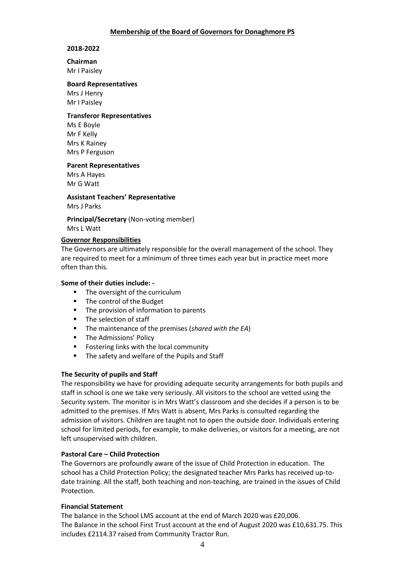## **Membership of the Board of Governors for Donaghmore PS**

## **2018-2022**

## **Chairman**

Mr I Paisley

## **Board Representatives**

Mrs J Henry Mr I Paisley

## **Transferor Representatives**

Ms E Boyle Mr F Kelly Mrs K Rainey Mrs P Ferguson

**Parent Representatives**

Mrs A Hayes Mr G Watt

**Assistant Teachers' Representative** Mrs J Parks

**Principal/Secretary** (Non-voting member) Mrs L Watt

#### **Governor Responsibilities**

The Governors are ultimately responsible for the overall management of the school. They are required to meet for a minimum of three times each year but in practice meet more often than this.

## **Some of their duties include: -**

- The oversight of the curriculum
- The control of the Budget
- The provision of information to parents
- The selection of staff
- The maintenance of the premises (*shared with the EA*)
- **The Admissions' Policy**
- Fostering links with the local community
- **The safety and welfare of the Pupils and Staff**

## **The Security of pupils and Staff**

The responsibility we have for providing adequate security arrangements for both pupils and staff in school is one we take very seriously. All visitors to the school are vetted using the Security system. The monitor is in Mrs Watt's classroom and she decides if a person is to be admitted to the premises. If Mrs Watt is absent, Mrs Parks is consulted regarding the admission of visitors. Children are taught not to open the outside door. Individuals entering school for limited periods, for example, to make deliveries, or visitors for a meeting, are not left unsupervised with children.

## **Pastoral Care – Child Protection**

The Governors are profoundly aware of the issue of Child Protection in education. The school has a Child Protection Policy; the designated teacher Mrs Parks has received up-todate training. All the staff, both teaching and non-teaching, are trained in the issues of Child Protection.

## **Financial Statement**

The balance in the School LMS account at the end of March 2020 was £20,006. The Balance in the school First Trust account at the end of August 2020 was £10,631.75. This includes £2114.37 raised from Community Tractor Run.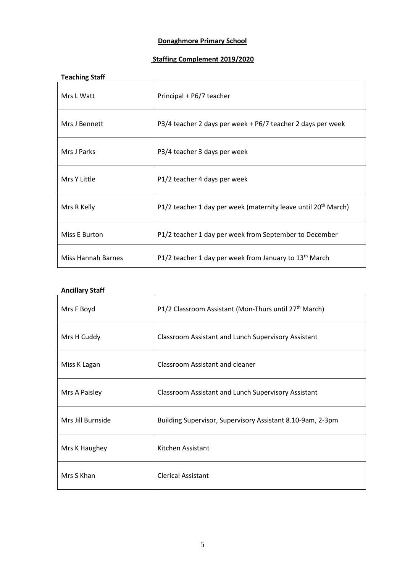## **Donaghmore Primary School**

# **Staffing Complement 2019/2020**

| <b>Teaching Staff</b> |                                                                            |
|-----------------------|----------------------------------------------------------------------------|
| Mrs L Watt            | Principal + P6/7 teacher                                                   |
| Mrs J Bennett         | P3/4 teacher 2 days per week + P6/7 teacher 2 days per week                |
| Mrs J Parks           | P3/4 teacher 3 days per week                                               |
| Mrs Y Little          | P1/2 teacher 4 days per week                                               |
| Mrs R Kelly           | P1/2 teacher 1 day per week (maternity leave until 20 <sup>th</sup> March) |
| Miss E Burton         | P1/2 teacher 1 day per week from September to December                     |
| Miss Hannah Barnes    | P1/2 teacher 1 day per week from January to 13 <sup>th</sup> March         |

# **Ancillary Staff**

| Mrs F Boyd        | P1/2 Classroom Assistant (Mon-Thurs until 27 <sup>th</sup> March) |
|-------------------|-------------------------------------------------------------------|
| Mrs H Cuddy       | <b>Classroom Assistant and Lunch Supervisory Assistant</b>        |
| Miss K Lagan      | Classroom Assistant and cleaner                                   |
| Mrs A Paisley     | Classroom Assistant and Lunch Supervisory Assistant               |
| Mrs Jill Burnside | Building Supervisor, Supervisory Assistant 8.10-9am, 2-3pm        |
| Mrs K Haughey     | Kitchen Assistant                                                 |
| Mrs S Khan        | <b>Clerical Assistant</b>                                         |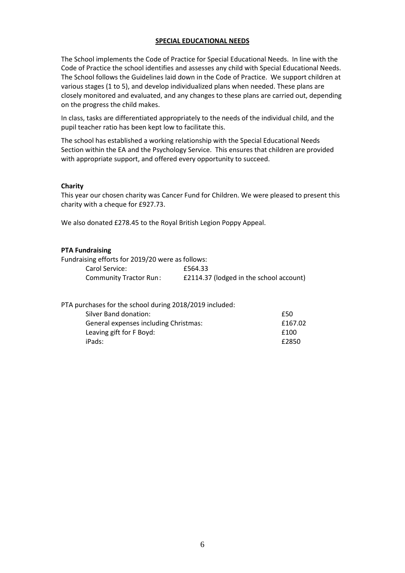## **SPECIAL EDUCATIONAL NEEDS**

The School implements the Code of Practice for Special Educational Needs. In line with the Code of Practice the school identifies and assesses any child with Special Educational Needs. The School follows the Guidelines laid down in the Code of Practice. We support children at various stages (1 to 5), and develop individualized plans when needed. These plans are closely monitored and evaluated, and any changes to these plans are carried out, depending on the progress the child makes.

In class, tasks are differentiated appropriately to the needs of the individual child, and the pupil teacher ratio has been kept low to facilitate this.

The school has established a working relationship with the Special Educational Needs Section within the EA and the Psychology Service. This ensures that children are provided with appropriate support, and offered every opportunity to succeed.

#### **Charity**

This year our chosen charity was Cancer Fund for Children. We were pleased to present this charity with a cheque for £927.73.

We also donated £278.45 to the Royal British Legion Poppy Appeal.

#### **PTA Fundraising**

| Fundraising efforts for 2019/20 were as follows: |                                         |
|--------------------------------------------------|-----------------------------------------|
| Carol Service:                                   | £564.33                                 |
| <b>Community Tractor Run:</b>                    | £2114.37 (lodged in the school account) |

| PTA purchases for the school during 2018/2019 included: |         |
|---------------------------------------------------------|---------|
| Silver Band donation:                                   | £50     |
| General expenses including Christmas:                   | £167.02 |
| Leaving gift for F Boyd:                                | £100    |
| iPads:                                                  | £2850   |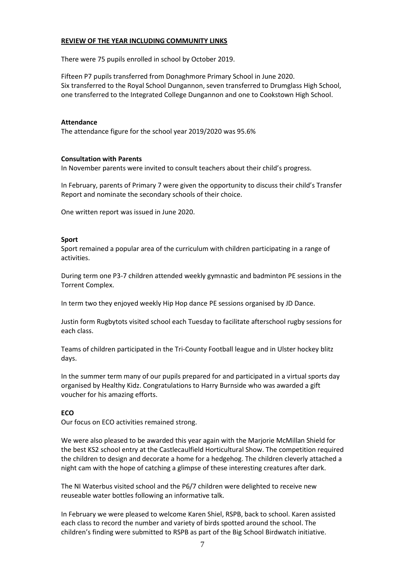## **REVIEW OF THE YEAR INCLUDING COMMUNITY LINKS**

There were 75 pupils enrolled in school by October 2019.

Fifteen P7 pupils transferred from Donaghmore Primary School in June 2020. Six transferred to the Royal School Dungannon, seven transferred to Drumglass High School, one transferred to the Integrated College Dungannon and one to Cookstown High School.

## **Attendance**

The attendance figure for the school year 2019/2020 was 95.6%

#### **Consultation with Parents**

In November parents were invited to consult teachers about their child's progress.

In February, parents of Primary 7 were given the opportunity to discuss their child's Transfer Report and nominate the secondary schools of their choice.

One written report was issued in June 2020.

#### **Sport**

Sport remained a popular area of the curriculum with children participating in a range of activities.

During term one P3-7 children attended weekly gymnastic and badminton PE sessions in the Torrent Complex.

In term two they enjoyed weekly Hip Hop dance PE sessions organised by JD Dance.

Justin form Rugbytots visited school each Tuesday to facilitate afterschool rugby sessions for each class.

Teams of children participated in the Tri-County Football league and in Ulster hockey blitz days.

In the summer term many of our pupils prepared for and participated in a virtual sports day organised by Healthy Kidz. Congratulations to Harry Burnside who was awarded a gift voucher for his amazing efforts.

## **ECO**

Our focus on ECO activities remained strong.

We were also pleased to be awarded this year again with the Marjorie McMillan Shield for the best KS2 school entry at the Castlecaulfield Horticultural Show. The competition required the children to design and decorate a home for a hedgehog. The children cleverly attached a night cam with the hope of catching a glimpse of these interesting creatures after dark.

The NI Waterbus visited school and the P6/7 children were delighted to receive new reuseable water bottles following an informative talk.

In February we were pleased to welcome Karen Shiel, RSPB, back to school. Karen assisted each class to record the number and variety of birds spotted around the school. The children's finding were submitted to RSPB as part of the Big School Birdwatch initiative.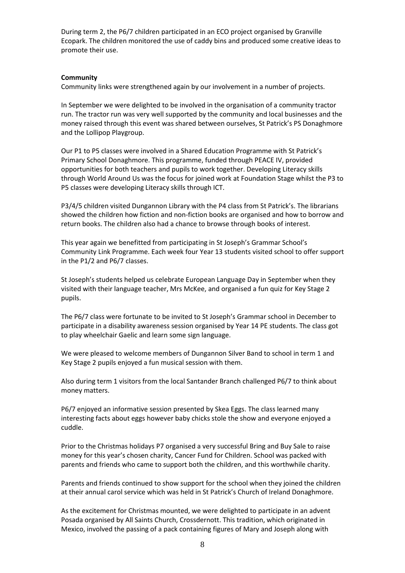During term 2, the P6/7 children participated in an ECO project organised by Granville Ecopark. The children monitored the use of caddy bins and produced some creative ideas to promote their use.

## **Community**

Community links were strengthened again by our involvement in a number of projects.

In September we were delighted to be involved in the organisation of a community tractor run. The tractor run was very well supported by the community and local businesses and the money raised through this event was shared between ourselves, St Patrick's PS Donaghmore and the Lollipop Playgroup.

Our P1 to P5 classes were involved in a Shared Education Programme with St Patrick's Primary School Donaghmore. This programme, funded through PEACE IV, provided opportunities for both teachers and pupils to work together. Developing Literacy skills through World Around Us was the focus for joined work at Foundation Stage whilst the P3 to P5 classes were developing Literacy skills through ICT.

P3/4/5 children visited Dungannon Library with the P4 class from St Patrick's. The librarians showed the children how fiction and non-fiction books are organised and how to borrow and return books. The children also had a chance to browse through books of interest.

This year again we benefitted from participating in St Joseph's Grammar School's Community Link Programme. Each week four Year 13 students visited school to offer support in the P1/2 and P6/7 classes.

St Joseph's students helped us celebrate European Language Day in September when they visited with their language teacher, Mrs McKee, and organised a fun quiz for Key Stage 2 pupils.

The P6/7 class were fortunate to be invited to St Joseph's Grammar school in December to participate in a disability awareness session organised by Year 14 PE students. The class got to play wheelchair Gaelic and learn some sign language.

We were pleased to welcome members of Dungannon Silver Band to school in term 1 and Key Stage 2 pupils enjoyed a fun musical session with them.

Also during term 1 visitors from the local Santander Branch challenged P6/7 to think about money matters.

P6/7 enjoyed an informative session presented by Skea Eggs. The class learned many interesting facts about eggs however baby chicks stole the show and everyone enjoyed a cuddle.

Prior to the Christmas holidays P7 organised a very successful Bring and Buy Sale to raise money for this year's chosen charity, Cancer Fund for Children. School was packed with parents and friends who came to support both the children, and this worthwhile charity.

Parents and friends continued to show support for the school when they joined the children at their annual carol service which was held in St Patrick's Church of Ireland Donaghmore.

As the excitement for Christmas mounted, we were delighted to participate in an advent Posada organised by All Saints Church, Crossdernott. This tradition, which originated in Mexico, involved the passing of a pack containing figures of Mary and Joseph along with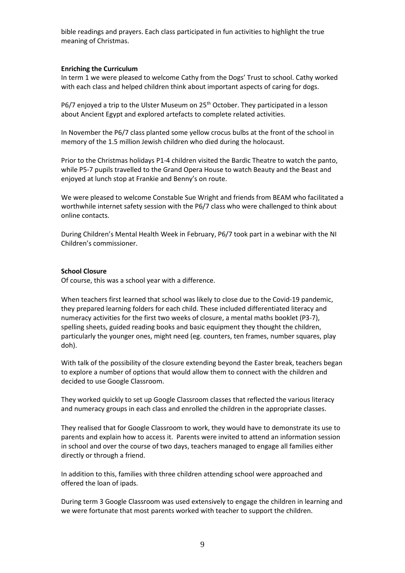bible readings and prayers. Each class participated in fun activities to highlight the true meaning of Christmas.

#### **Enriching the Curriculum**

In term 1 we were pleased to welcome Cathy from the Dogs' Trust to school. Cathy worked with each class and helped children think about important aspects of caring for dogs.

 $P6/7$  enjoyed a trip to the Ulster Museum on  $25<sup>th</sup>$  October. They participated in a lesson about Ancient Egypt and explored artefacts to complete related activities.

In November the P6/7 class planted some yellow crocus bulbs at the front of the school in memory of the 1.5 million Jewish children who died during the holocaust.

Prior to the Christmas holidays P1-4 children visited the Bardic Theatre to watch the panto, while P5-7 pupils travelled to the Grand Opera House to watch Beauty and the Beast and enjoyed at lunch stop at Frankie and Benny's on route.

We were pleased to welcome Constable Sue Wright and friends from BEAM who facilitated a worthwhile internet safety session with the P6/7 class who were challenged to think about online contacts.

During Children's Mental Health Week in February, P6/7 took part in a webinar with the NI Children's commissioner.

#### **School Closure**

Of course, this was a school year with a difference.

When teachers first learned that school was likely to close due to the Covid-19 pandemic, they prepared learning folders for each child. These included differentiated literacy and numeracy activities for the first two weeks of closure, a mental maths booklet (P3-7), spelling sheets, guided reading books and basic equipment they thought the children, particularly the younger ones, might need (eg. counters, ten frames, number squares, play doh).

With talk of the possibility of the closure extending beyond the Easter break, teachers began to explore a number of options that would allow them to connect with the children and decided to use Google Classroom.

They worked quickly to set up Google Classroom classes that reflected the various literacy and numeracy groups in each class and enrolled the children in the appropriate classes.

They realised that for Google Classroom to work, they would have to demonstrate its use to parents and explain how to access it. Parents were invited to attend an information session in school and over the course of two days, teachers managed to engage all families either directly or through a friend.

In addition to this, families with three children attending school were approached and offered the loan of ipads.

During term 3 Google Classroom was used extensively to engage the children in learning and we were fortunate that most parents worked with teacher to support the children.